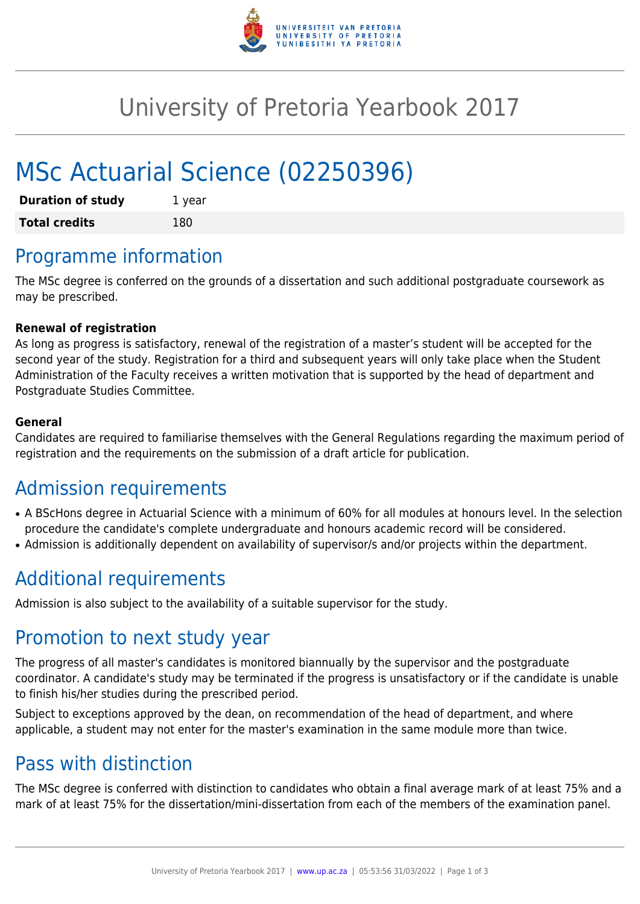

## University of Pretoria Yearbook 2017

# MSc Actuarial Science (02250396)

| <b>Duration of study</b> | 1 year |
|--------------------------|--------|
| <b>Total credits</b>     | 180    |

## Programme information

The MSc degree is conferred on the grounds of a dissertation and such additional postgraduate coursework as may be prescribed.

#### **Renewal of registration**

As long as progress is satisfactory, renewal of the registration of a master's student will be accepted for the second year of the study. Registration for a third and subsequent years will only take place when the Student Administration of the Faculty receives a written motivation that is supported by the head of department and Postgraduate Studies Committee.

#### **General**

Candidates are required to familiarise themselves with the General Regulations regarding the maximum period of registration and the requirements on the submission of a draft article for publication.

### Admission requirements

- A BScHons degree in Actuarial Science with a minimum of 60% for all modules at honours level. In the selection procedure the candidate's complete undergraduate and honours academic record will be considered.
- Admission is additionally dependent on availability of supervisor/s and/or projects within the department.

### Additional requirements

Admission is also subject to the availability of a suitable supervisor for the study.

#### Promotion to next study year

The progress of all master's candidates is monitored biannually by the supervisor and the postgraduate coordinator. A candidate's study may be terminated if the progress is unsatisfactory or if the candidate is unable to finish his/her studies during the prescribed period.

Subject to exceptions approved by the dean, on recommendation of the head of department, and where applicable, a student may not enter for the master's examination in the same module more than twice.

#### Pass with distinction

The MSc degree is conferred with distinction to candidates who obtain a final average mark of at least 75% and a mark of at least 75% for the dissertation/mini-dissertation from each of the members of the examination panel.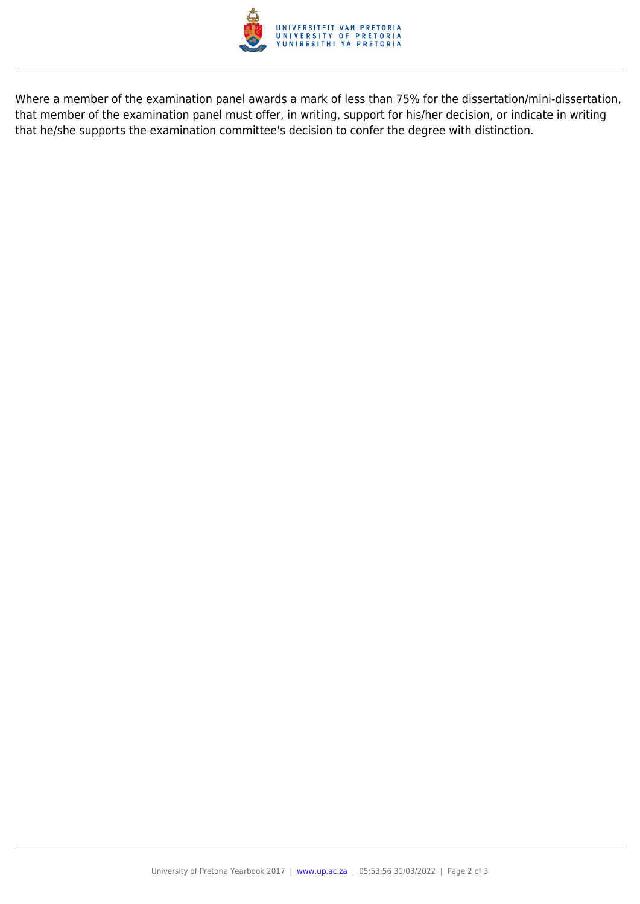

Where a member of the examination panel awards a mark of less than 75% for the dissertation/mini-dissertation, that member of the examination panel must offer, in writing, support for his/her decision, or indicate in writing that he/she supports the examination committee's decision to confer the degree with distinction.